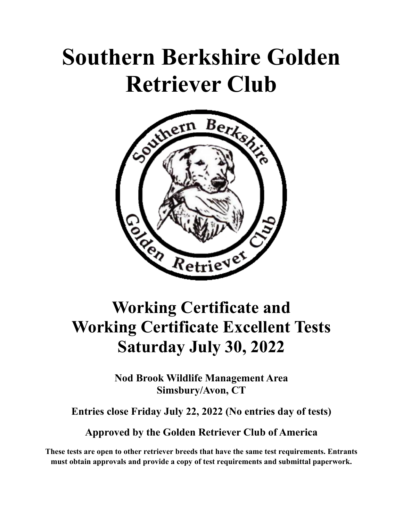# **Southern Berkshire Golden Retriever Club**



# **Working Certificate and Working Certificate Excellent Tests Saturday July 30, 2022**

**Nod Brook Wildlife Management Area Simsbury/Avon, CT** 

**Entries close Friday July 22, 2022 (No entries day of tests)** 

**Approved by the Golden Retriever Club of America** 

**These tests are open to other retriever breeds that have the same test requirements. Entrants must obtain approvals and provide a copy of test requirements and submittal paperwork.**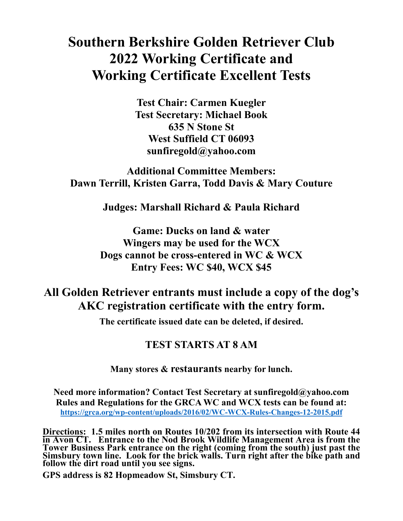# **Southern Berkshire Golden Retriever Club 2022 Working Certificate and Working Certificate Excellent Tests**

**Test Chair: Carmen Kuegler Test Secretary: Michael Book 635 N Stone St West Suffield CT 06093 sunfiregold@yahoo.com** 

## **Additional Committee Members: Dawn Terrill, Kristen Garra, Todd Davis & Mary Couture**

**Judges: Marshall Richard & Paula Richard** 

**Game: Ducks on land & water Wingers may be used for the WCX Dogs cannot be cross-entered in WC & WCX Entry Fees: WC \$40, WCX \$45** 

# **All Golden Retriever entrants must include a copy of the dog's AKC registration certificate with the entry form.**

**The certificate issued date can be deleted, if desired.** 

### **TEST STARTS AT 8 AM**

#### **Many stores & restaurants nearby for lunch.**

**Need more information? Contact Test Secretary at sunfiregold@yahoo.com Rules and Regulations for the GRCA WC and WCX tests can be found at: https://grca.org/wp-content/uploads/2016/02/WC-WCX-Rules-Changes-12-2015.pdf**

**Directions: 1.5 miles north on Routes 10/202 from its intersection with Route 44**  in Avon CT. Entrance to the Nod Brook Wildlife Management Area is from the<br>Tower Business Park entrance on the right (coming from the south) just past the<br>Simsbury town line. Look for the brick walls. Turn right after the

**GPS address is 82 Hopmeadow St, Simsbury CT.**